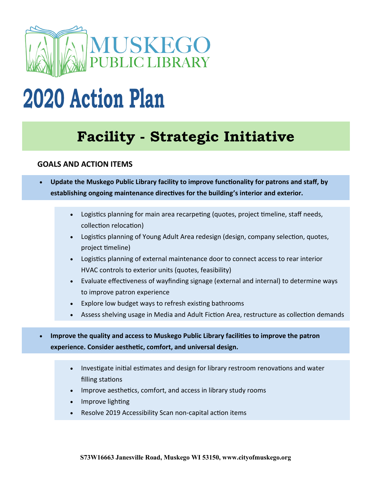

# **2020 Action Plan**

# **Facility - Strategic Initiative**

### **GOALS AND ACTION ITEMS**

- **Update the Muskego Public Library facility to improve functionality for patrons and staff, by establishing ongoing maintenance directives for the building's interior and exterior.**
	- Logistics planning for main area recarpeting (quotes, project timeline, staff needs, collection relocation)
	- Logistics planning of Young Adult Area redesign (design, company selection, quotes, project timeline)
	- Logistics planning of external maintenance door to connect access to rear interior HVAC controls to exterior units (quotes, feasibility)
	- Evaluate effectiveness of wayfinding signage (external and internal) to determine ways to improve patron experience
	- Explore low budget ways to refresh existing bathrooms
	- Assess shelving usage in Media and Adult Fiction Area, restructure as collection demands
- **Improve the quality and access to Muskego Public Library facilities to improve the patron experience. Consider aesthetic, comfort, and universal design.**
	- Investigate initial estimates and design for library restroom renovations and water filling stations
	- Improve aesthetics, comfort, and access in library study rooms
	- Improve lighting
	- Resolve 2019 Accessibility Scan non-capital action items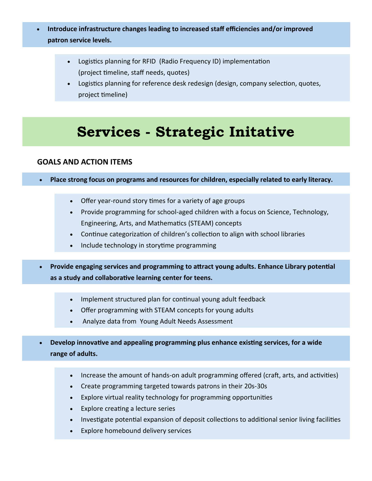- **Introduce infrastructure changes leading to increased staff efficiencies and/or improved patron service levels.** 
	- Logistics planning for RFID (Radio Frequency ID) implementation (project timeline, staff needs, quotes)
	- Logistics planning for reference desk redesign (design, company selection, quotes, project timeline)

### **Services - Strategic Initative**

#### **GOALS AND ACTION ITEMS**

- **Place strong focus on programs and resources for children, especially related to early literacy.**
	- Offer year-round story times for a variety of age groups
	- Provide programming for school-aged children with a focus on Science, Technology, Engineering, Arts, and Mathematics (STEAM) concepts
	- Continue categorization of children's collection to align with school libraries
	- Include technology in storytime programming
- **Provide engaging services and programming to attract young adults. Enhance Library potential as a study and collaborative learning center for teens.**
	- Implement structured plan for continual young adult feedback
	- Offer programming with STEAM concepts for young adults
	- Analyze data from Young Adult Needs Assessment
- **Develop innovative and appealing programming plus enhance existing services, for a wide range of adults.**
	- Increase the amount of hands-on adult programming offered (craft, arts, and activities)
	- Create programming targeted towards patrons in their 20s-30s
	- Explore virtual reality technology for programming opportunities
	- Explore creating a lecture series
	- Investigate potential expansion of deposit collections to additional senior living facilities
	- Explore homebound delivery services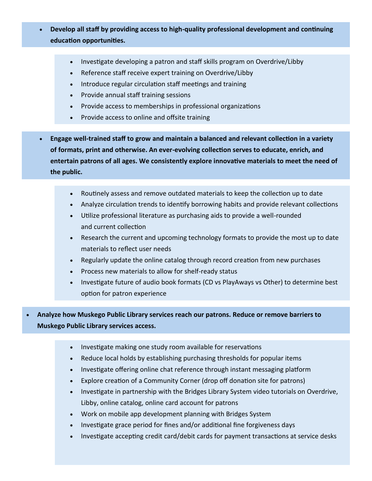- **Develop all staff by providing access to high-quality professional development and continuing education opportunities.**
	- Investigate developing a patron and staff skills program on Overdrive/Libby
	- Reference staff receive expert training on Overdrive/Libby
	- Introduce regular circulation staff meetings and training
	- Provide annual staff training sessions
	- Provide access to memberships in professional organizations
	- Provide access to online and offsite training
- **Engage well-trained staff to grow and maintain a balanced and relevant collection in a variety of formats, print and otherwise. An ever-evolving collection serves to educate, enrich, and entertain patrons of all ages. We consistently explore innovative materials to meet the need of the public.**
	- Routinely assess and remove outdated materials to keep the collection up to date
	- Analyze circulation trends to identify borrowing habits and provide relevant collections
	- Utilize professional literature as purchasing aids to provide a well-rounded and current collection
	- Research the current and upcoming technology formats to provide the most up to date materials to reflect user needs
	- Regularly update the online catalog through record creation from new purchases
	- Process new materials to allow for shelf-ready status
	- Investigate future of audio book formats (CD vs PlayAways vs Other) to determine best option for patron experience

• **Analyze how Muskego Public Library services reach our patrons. Reduce or remove barriers to Muskego Public Library services access.**

- Investigate making one study room available for reservations
- Reduce local holds by establishing purchasing thresholds for popular items
- Investigate offering online chat reference through instant messaging platform
- Explore creation of a Community Corner (drop off donation site for patrons)
- Investigate in partnership with the Bridges Library System video tutorials on Overdrive, Libby, online catalog, online card account for patrons
- Work on mobile app development planning with Bridges System
- Investigate grace period for fines and/or additional fine forgiveness days
- Investigate accepting credit card/debit cards for payment transactions at service desks